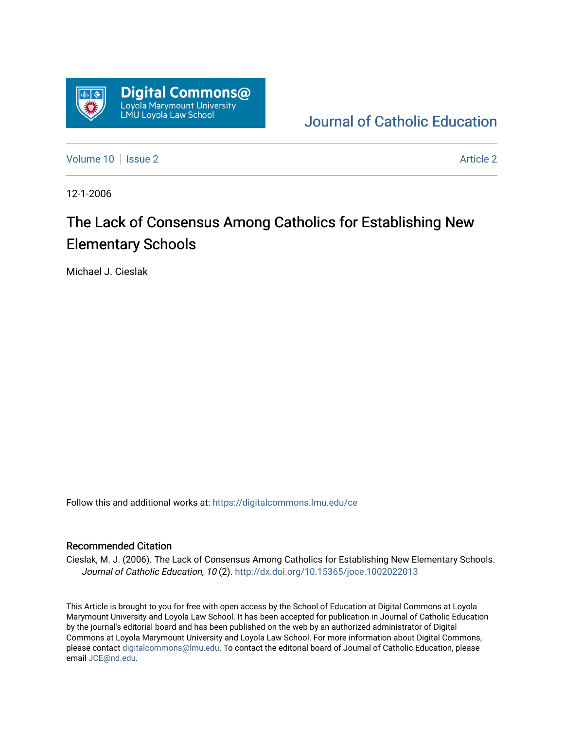

[Journal of Catholic Education](https://digitalcommons.lmu.edu/ce) 

[Volume 10](https://digitalcommons.lmu.edu/ce/vol10) | [Issue 2](https://digitalcommons.lmu.edu/ce/vol10/iss2) Article 2

12-1-2006

# The Lack of Consensus Among Catholics for Establishing New Elementary Schools

Michael J. Cieslak

Follow this and additional works at: [https://digitalcommons.lmu.edu/ce](https://digitalcommons.lmu.edu/ce?utm_source=digitalcommons.lmu.edu%2Fce%2Fvol10%2Fiss2%2F2&utm_medium=PDF&utm_campaign=PDFCoverPages)

#### Recommended Citation

Cieslak, M. J. (2006). The Lack of Consensus Among Catholics for Establishing New Elementary Schools. Journal of Catholic Education, 10 (2).<http://dx.doi.org/10.15365/joce.1002022013>

This Article is brought to you for free with open access by the School of Education at Digital Commons at Loyola Marymount University and Loyola Law School. It has been accepted for publication in Journal of Catholic Education by the journal's editorial board and has been published on the web by an authorized administrator of Digital Commons at Loyola Marymount University and Loyola Law School. For more information about Digital Commons, please contact [digitalcommons@lmu.edu](mailto:digitalcommons@lmu.edu). To contact the editorial board of Journal of Catholic Education, please email [JCE@nd.edu](mailto:JCE@nd.edu).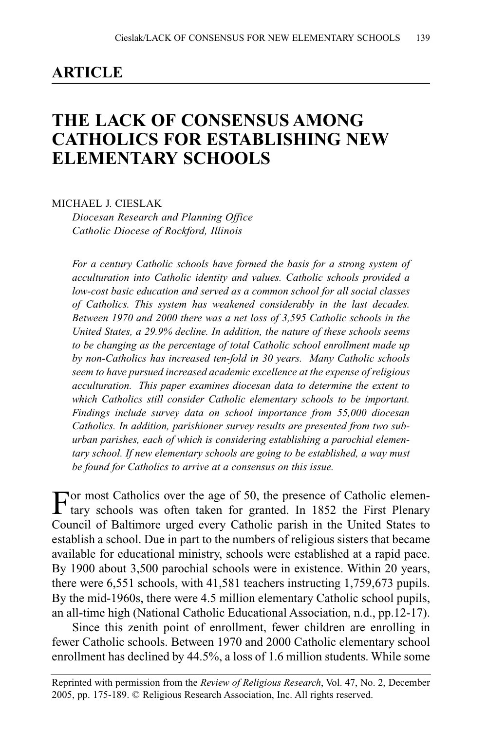### **ARTICLE**

# **THE LACK OF CONSENSUS AMONG CATHOLICS FOR ESTABLISHING NEW ELEMENTARY SCHOOLS**

MICHAEL J. CIESLAK

*Diocesan Research and Planning Office Catholic Diocese of Rockford, Illinois*

*For a century Catholic schools have formed the basis for a strong system of acculturation into Catholic identity and values. Catholic schools provided a low-cost basic education and served as a common school for all social classes of Catholics. This system has weakened considerably in the last decades. Between 1970 and 2000 there was a net loss of 3,595 Catholic schools in the United States, a 29.9% decline. In addition, the nature of these schools seems to be changing as the percentage of total Catholic school enrollment made up by non-Catholics has increased ten-fold in 30 years. Many Catholic schools seem to have pursued increased academic excellence at the expense of religious acculturation. This paper examines diocesan data to determine the extent to which Catholics still consider Catholic elementary schools to be important. Findings include survey data on school importance from 55,000 diocesan Catholics. In addition, parishioner survey results are presented from two suburban parishes, each of which is considering establishing a parochial elementary school. If new elementary schools are going to be established, a way must be found for Catholics to arrive at a consensus on this issue.*

For most Catholics over the age of 50, the presence of Catholic elemen-<br>tary schools was often taken for granted. In 1852 the First Plenary Council of Baltimore urged every Catholic parish in the United States to establish a school. Due in part to the numbers of religious sisters that became available for educational ministry, schools were established at a rapid pace. By 1900 about 3,500 parochial schools were in existence. Within 20 years, there were 6,551 schools, with 41,581 teachers instructing 1,759,673 pupils. By the mid-1960s, there were 4.5 million elementary Catholic school pupils, an all-time high (National Catholic Educational Association, n.d., pp.12-17).

Since this zenith point of enrollment, fewer children are enrolling in fewer Catholic schools. Between 1970 and 2000 Catholic elementary school enrollment has declined by 44.5%, a loss of 1.6 million students. While some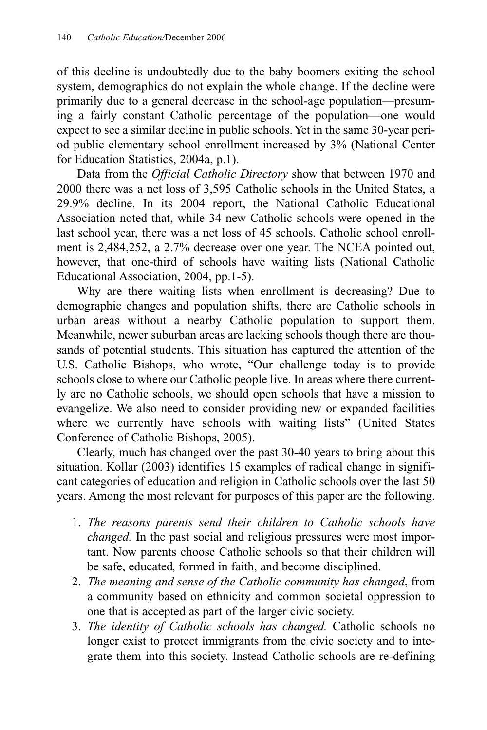of this decline is undoubtedly due to the baby boomers exiting the school system, demographics do not explain the whole change. If the decline were primarily due to a general decrease in the school-age population—presuming a fairly constant Catholic percentage of the population—one would expect to see a similar decline in public schools. Yet in the same 30-year period public elementary school enrollment increased by 3% (National Center for Education Statistics, 2004a, p.1).

Data from the *Official Catholic Directory* show that between 1970 and 2000 there was a net loss of 3,595 Catholic schools in the United States, a 29.9% decline. In its 2004 report, the National Catholic Educational Association noted that, while 34 new Catholic schools were opened in the last school year, there was a net loss of 45 schools. Catholic school enrollment is 2,484,252, a 2.7% decrease over one year. The NCEA pointed out, however, that one-third of schools have waiting lists (National Catholic Educational Association, 2004, pp.1-5).

Why are there waiting lists when enrollment is decreasing? Due to demographic changes and population shifts, there are Catholic schools in urban areas without a nearby Catholic population to support them. Meanwhile, newer suburban areas are lacking schools though there are thousands of potential students. This situation has captured the attention of the U.S. Catholic Bishops, who wrote, "Our challenge today is to provide schools close to where our Catholic people live. In areas where there currently are no Catholic schools, we should open schools that have a mission to evangelize. We also need to consider providing new or expanded facilities where we currently have schools with waiting lists" (United States Conference of Catholic Bishops, 2005).

Clearly, much has changed over the past 30-40 years to bring about this situation. Kollar (2003) identifies 15 examples of radical change in significant categories of education and religion in Catholic schools over the last 50 years. Among the most relevant for purposes of this paper are the following.

- 1. *The reasons parents send their children to Catholic schools have changed.* In the past social and religious pressures were most important. Now parents choose Catholic schools so that their children will be safe, educated, formed in faith, and become disciplined.
- 2. *The meaning and sense of the Catholic community has changed*, from a community based on ethnicity and common societal oppression to one that is accepted as part of the larger civic society.
- 3. *The identity of Catholic schools has changed.* Catholic schools no longer exist to protect immigrants from the civic society and to integrate them into this society. Instead Catholic schools are re-defining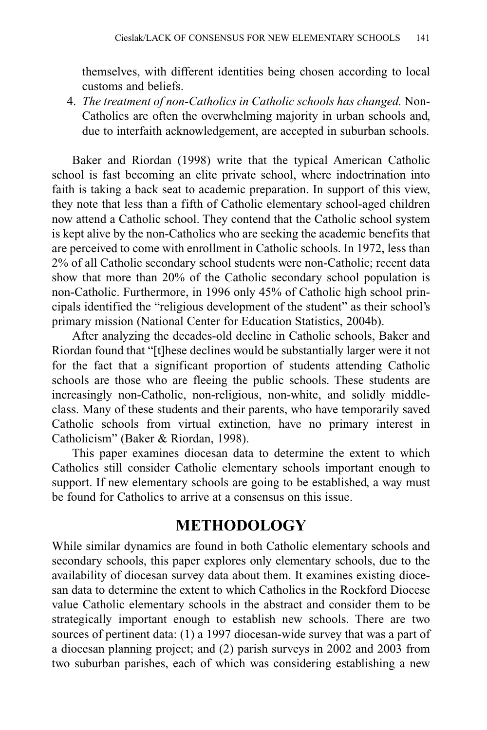themselves, with different identities being chosen according to local customs and beliefs.

4. *The treatment of non-Catholics in Catholic schools has changed.* Non-Catholics are often the overwhelming majority in urban schools and, due to interfaith acknowledgement, are accepted in suburban schools.

Baker and Riordan (1998) write that the typical American Catholic school is fast becoming an elite private school, where indoctrination into faith is taking a back seat to academic preparation. In support of this view, they note that less than a fifth of Catholic elementary school-aged children now attend a Catholic school. They contend that the Catholic school system is kept alive by the non-Catholics who are seeking the academic benefits that are perceived to come with enrollment in Catholic schools. In 1972, less than 2% of all Catholic secondary school students were non-Catholic; recent data show that more than 20% of the Catholic secondary school population is non-Catholic. Furthermore, in 1996 only 45% of Catholic high school principals identified the "religious development of the student" as their school's primary mission (National Center for Education Statistics, 2004b).

After analyzing the decades-old decline in Catholic schools, Baker and Riordan found that "[t]hese declines would be substantially larger were it not for the fact that a significant proportion of students attending Catholic schools are those who are fleeing the public schools. These students are increasingly non-Catholic, non-religious, non-white, and solidly middleclass. Many of these students and their parents, who have temporarily saved Catholic schools from virtual extinction, have no primary interest in Catholicism" (Baker & Riordan, 1998).

This paper examines diocesan data to determine the extent to which Catholics still consider Catholic elementary schools important enough to support. If new elementary schools are going to be established, a way must be found for Catholics to arrive at a consensus on this issue.

### **METHODOLOGY**

While similar dynamics are found in both Catholic elementary schools and secondary schools, this paper explores only elementary schools, due to the availability of diocesan survey data about them. It examines existing diocesan data to determine the extent to which Catholics in the Rockford Diocese value Catholic elementary schools in the abstract and consider them to be strategically important enough to establish new schools. There are two sources of pertinent data: (1) a 1997 diocesan-wide survey that was a part of a diocesan planning project; and (2) parish surveys in 2002 and 2003 from two suburban parishes, each of which was considering establishing a new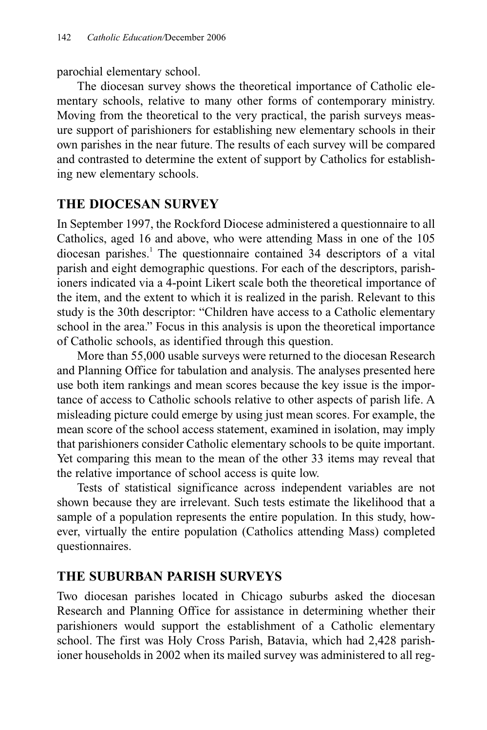parochial elementary school.

The diocesan survey shows the theoretical importance of Catholic elementary schools, relative to many other forms of contemporary ministry. Moving from the theoretical to the very practical, the parish surveys measure support of parishioners for establishing new elementary schools in their own parishes in the near future. The results of each survey will be compared and contrasted to determine the extent of support by Catholics for establishing new elementary schools.

### **THE DIOCESAN SURVEY**

In September 1997, the Rockford Diocese administered a questionnaire to all Catholics, aged 16 and above, who were attending Mass in one of the 105 diocesan parishes.<sup>1</sup> The questionnaire contained 34 descriptors of a vital parish and eight demographic questions. For each of the descriptors, parishioners indicated via a 4-point Likert scale both the theoretical importance of the item, and the extent to which it is realized in the parish. Relevant to this study is the 30th descriptor: "Children have access to a Catholic elementary school in the area." Focus in this analysis is upon the theoretical importance of Catholic schools, as identified through this question.

More than 55,000 usable surveys were returned to the diocesan Research and Planning Office for tabulation and analysis. The analyses presented here use both item rankings and mean scores because the key issue is the importance of access to Catholic schools relative to other aspects of parish life. A misleading picture could emerge by using just mean scores. For example, the mean score of the school access statement, examined in isolation, may imply that parishioners consider Catholic elementary schools to be quite important. Yet comparing this mean to the mean of the other 33 items may reveal that the relative importance of school access is quite low.

Tests of statistical significance across independent variables are not shown because they are irrelevant. Such tests estimate the likelihood that a sample of a population represents the entire population. In this study, however, virtually the entire population (Catholics attending Mass) completed questionnaires.

### **THE SUBURBAN PARISH SURVEYS**

Two diocesan parishes located in Chicago suburbs asked the diocesan Research and Planning Office for assistance in determining whether their parishioners would support the establishment of a Catholic elementary school. The first was Holy Cross Parish, Batavia, which had 2,428 parishioner households in 2002 when its mailed survey was administered to all reg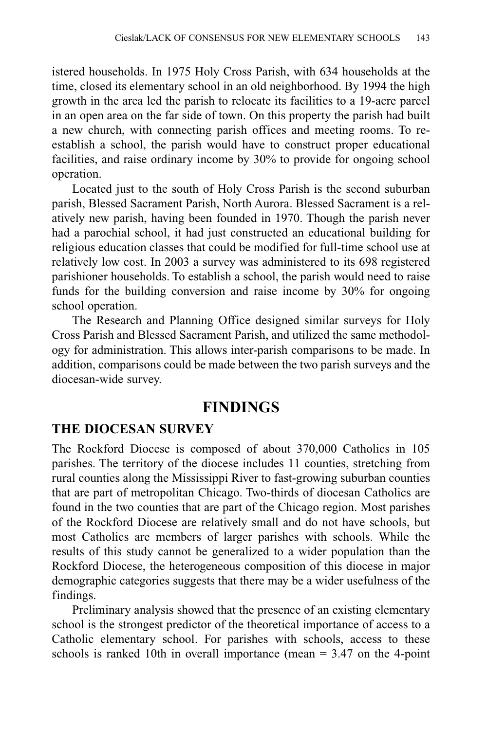istered households. In 1975 Holy Cross Parish, with 634 households at the time, closed its elementary school in an old neighborhood. By 1994 the high growth in the area led the parish to relocate its facilities to a 19-acre parcel in an open area on the far side of town. On this property the parish had built a new church, with connecting parish offices and meeting rooms. To reestablish a school, the parish would have to construct proper educational facilities, and raise ordinary income by 30% to provide for ongoing school operation.

Located just to the south of Holy Cross Parish is the second suburban parish, Blessed Sacrament Parish, North Aurora. Blessed Sacrament is a relatively new parish, having been founded in 1970. Though the parish never had a parochial school, it had just constructed an educational building for religious education classes that could be modified for full-time school use at relatively low cost. In 2003 a survey was administered to its 698 registered parishioner households. To establish a school, the parish would need to raise funds for the building conversion and raise income by 30% for ongoing school operation.

The Research and Planning Office designed similar surveys for Holy Cross Parish and Blessed Sacrament Parish, and utilized the same methodology for administration. This allows inter-parish comparisons to be made. In addition, comparisons could be made between the two parish surveys and the diocesan-wide survey.

### **FINDINGS**

### **THE DIOCESAN SURVEY**

The Rockford Diocese is composed of about 370,000 Catholics in 105 parishes. The territory of the diocese includes 11 counties, stretching from rural counties along the Mississippi River to fast-growing suburban counties that are part of metropolitan Chicago. Two-thirds of diocesan Catholics are found in the two counties that are part of the Chicago region. Most parishes of the Rockford Diocese are relatively small and do not have schools, but most Catholics are members of larger parishes with schools. While the results of this study cannot be generalized to a wider population than the Rockford Diocese, the heterogeneous composition of this diocese in major demographic categories suggests that there may be a wider usefulness of the findings.

Preliminary analysis showed that the presence of an existing elementary school is the strongest predictor of the theoretical importance of access to a Catholic elementary school. For parishes with schools, access to these schools is ranked 10th in overall importance (mean  $=$  3.47 on the 4-point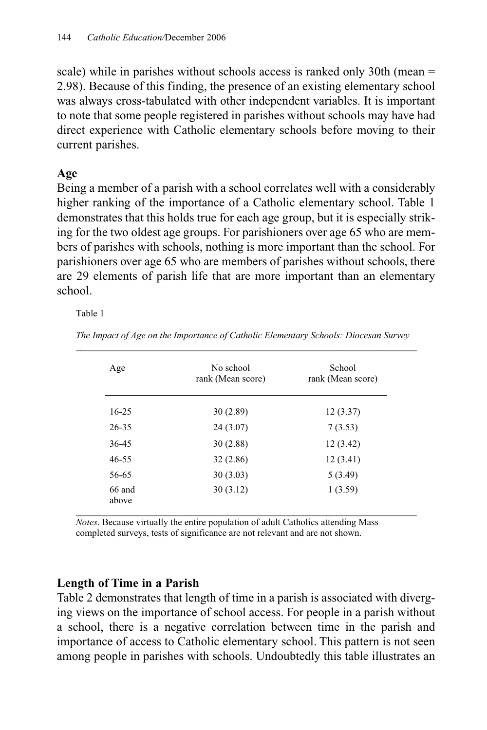scale) while in parishes without schools access is ranked only 30th (mean = 2.98). Because of this finding, the presence of an existing elementary school was always cross-tabulated with other independent variables. It is important to note that some people registered in parishes without schools may have had direct experience with Catholic elementary schools before moving to their current parishes.

#### **Age**

Being a member of a parish with a school correlates well with a considerably higher ranking of the importance of a Catholic elementary school. Table 1 demonstrates that this holds true for each age group, but it is especially striking for the two oldest age groups. For parishioners over age 65 who are members of parishes with schools, nothing is more important than the school. For parishioners over age 65 who are members of parishes without schools, there are 29 elements of parish life that are more important than an elementary school.

Table 1

| Age             | No school<br>rank (Mean score) | School<br>rank (Mean score) |
|-----------------|--------------------------------|-----------------------------|
| $16 - 25$       | 30(2.89)                       | 12(3.37)                    |
| 26-35           | 24(3.07)                       | 7(3.53)                     |
| $36 - 45$       | 30(2.88)                       | 12(3.42)                    |
| $46 - 55$       | 32(2.86)                       | 12(3.41)                    |
| 56-65           | 30(3.03)                       | 5(3.49)                     |
| 66 and<br>above | 30(3.12)                       | 1(3.59)                     |

*The Impact of Age on the Importance of Catholic Elementary Schools: Diocesan Survey*  \_\_\_\_\_\_\_\_\_\_\_\_\_\_\_\_\_\_\_\_\_\_\_\_\_\_\_\_\_\_\_\_\_\_\_\_\_\_\_\_\_\_\_\_\_\_\_\_\_\_\_\_\_\_\_\_\_\_\_\_\_\_\_\_\_\_\_\_\_\_\_\_

*Notes*. Because virtually the entire population of adult Catholics attending Mass completed surveys, tests of significance are not relevant and are not shown.

### **Length of Time in a Parish**

Table 2 demonstrates that length of time in a parish is associated with diverging views on the importance of school access. For people in a parish without a school, there is a negative correlation between time in the parish and importance of access to Catholic elementary school. This pattern is not seen among people in parishes with schools. Undoubtedly this table illustrates an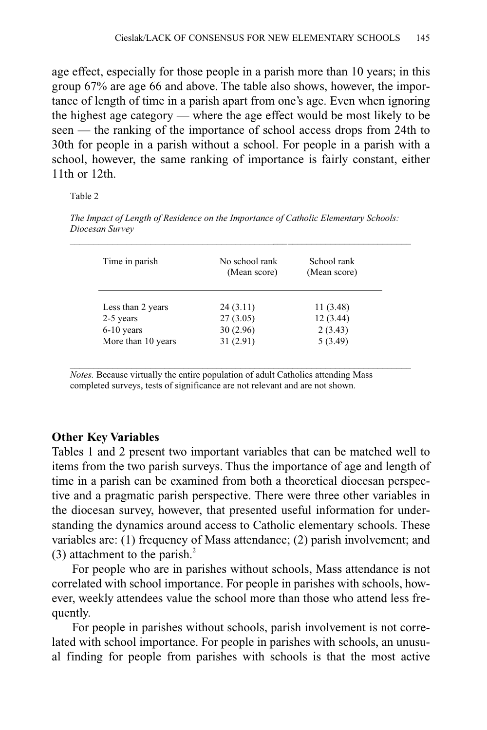age effect, especially for those people in a parish more than 10 years; in this group 67% are age 66 and above. The table also shows, however, the importance of length of time in a parish apart from one's age. Even when ignoring the highest age category — where the age effect would be most likely to be seen — the ranking of the importance of school access drops from 24th to 30th for people in a parish without a school. For people in a parish with a school, however, the same ranking of importance is fairly constant, either 11th or 12th.

Table 2

| Time in parish     | No school rank<br>(Mean score) | School rank<br>(Mean score) |
|--------------------|--------------------------------|-----------------------------|
| Less than 2 years  | 24(3.11)                       | 11 (3.48)                   |
| 2-5 years          | 27(3.05)                       | 12(3.44)                    |
| $6-10$ years       | 30(2.96)                       | 2(3.43)                     |
| More than 10 years | 31(2.91)                       | 5(3.49)                     |

*The Impact of Length of Residence on the Importance of Catholic Elementary Schools: Diocesan Survey \_\_\_\_\_\_\_\_\_\_\_\_\_\_\_\_\_\_\_\_\_\_\_\_\_\_\_\_\_\_\_\_\_\_\_\_\_\_\_\_\_\_\_\_\_\_***\_\_\_\_\_\_\_\_\_\_\_\_\_\_\_\_\_\_\_\_\_\_\_\_\_\_**

 $\mathcal{L}_\text{max} = \mathcal{L}_\text{max} = \mathcal{L}_\text{max} = \mathcal{L}_\text{max} = \mathcal{L}_\text{max} = \mathcal{L}_\text{max} = \mathcal{L}_\text{max} = \mathcal{L}_\text{max} = \mathcal{L}_\text{max} = \mathcal{L}_\text{max} = \mathcal{L}_\text{max} = \mathcal{L}_\text{max} = \mathcal{L}_\text{max} = \mathcal{L}_\text{max} = \mathcal{L}_\text{max} = \mathcal{L}_\text{max} = \mathcal{L}_\text{max} = \mathcal{L}_\text{max} = \mathcal{$ *Notes.* Because virtually the entire population of adult Catholics attending Mass completed surveys, tests of significance are not relevant and are not shown.

#### **Other Key Variables**

Tables 1 and 2 present two important variables that can be matched well to items from the two parish surveys. Thus the importance of age and length of time in a parish can be examined from both a theoretical diocesan perspective and a pragmatic parish perspective. There were three other variables in the diocesan survey, however, that presented useful information for understanding the dynamics around access to Catholic elementary schools. These variables are: (1) frequency of Mass attendance; (2) parish involvement; and (3) attachment to the parish. $^{2}$ 

For people who are in parishes without schools, Mass attendance is not correlated with school importance. For people in parishes with schools, however, weekly attendees value the school more than those who attend less frequently.

For people in parishes without schools, parish involvement is not correlated with school importance. For people in parishes with schools, an unusual finding for people from parishes with schools is that the most active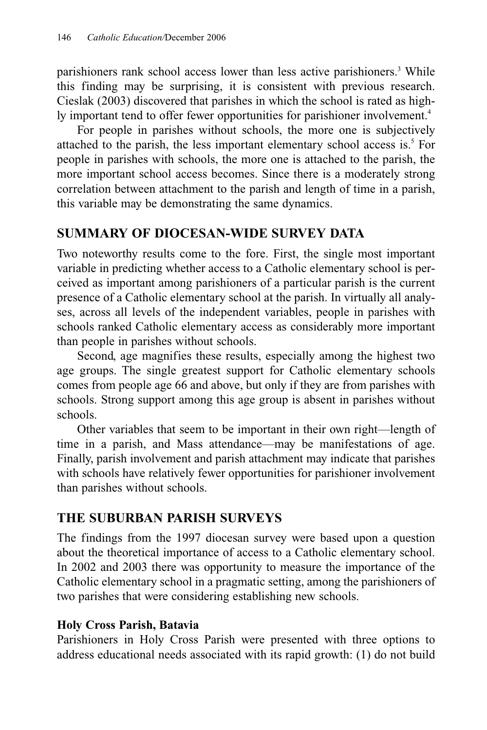parishioners rank school access lower than less active parishioners.3 While this finding may be surprising, it is consistent with previous research. Cieslak (2003) discovered that parishes in which the school is rated as highly important tend to offer fewer opportunities for parishioner involvement.<sup>4</sup>

For people in parishes without schools, the more one is subjectively attached to the parish, the less important elementary school access is. $<sup>5</sup>$  For</sup> people in parishes with schools, the more one is attached to the parish, the more important school access becomes. Since there is a moderately strong correlation between attachment to the parish and length of time in a parish, this variable may be demonstrating the same dynamics.

### **SUMMARY OF DIOCESAN-WIDE SURVEY DATA**

Two noteworthy results come to the fore. First, the single most important variable in predicting whether access to a Catholic elementary school is perceived as important among parishioners of a particular parish is the current presence of a Catholic elementary school at the parish. In virtually all analyses, across all levels of the independent variables, people in parishes with schools ranked Catholic elementary access as considerably more important than people in parishes without schools.

Second, age magnifies these results, especially among the highest two age groups. The single greatest support for Catholic elementary schools comes from people age 66 and above, but only if they are from parishes with schools. Strong support among this age group is absent in parishes without schools.

Other variables that seem to be important in their own right—length of time in a parish, and Mass attendance—may be manifestations of age. Finally, parish involvement and parish attachment may indicate that parishes with schools have relatively fewer opportunities for parishioner involvement than parishes without schools.

### **THE SUBURBAN PARISH SURVEYS**

The findings from the 1997 diocesan survey were based upon a question about the theoretical importance of access to a Catholic elementary school. In 2002 and 2003 there was opportunity to measure the importance of the Catholic elementary school in a pragmatic setting, among the parishioners of two parishes that were considering establishing new schools.

### **Holy Cross Parish, Batavia**

Parishioners in Holy Cross Parish were presented with three options to address educational needs associated with its rapid growth: (1) do not build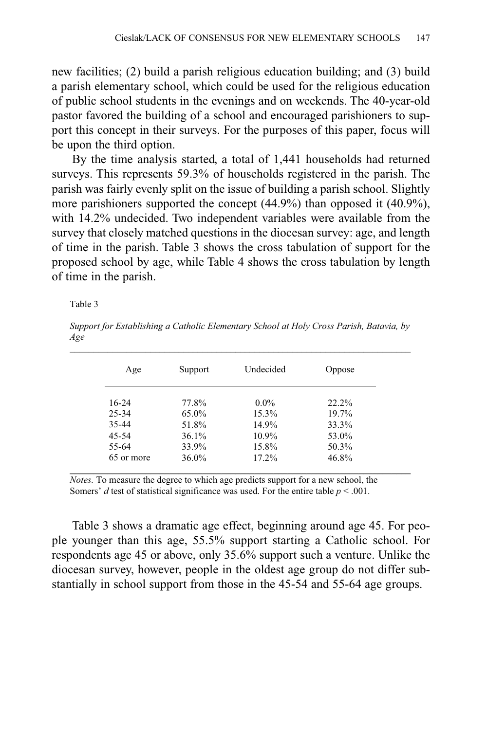new facilities; (2) build a parish religious education building; and (3) build a parish elementary school, which could be used for the religious education of public school students in the evenings and on weekends. The 40-year-old pastor favored the building of a school and encouraged parishioners to support this concept in their surveys. For the purposes of this paper, focus will be upon the third option.

By the time analysis started, a total of 1,441 households had returned surveys. This represents 59.3% of households registered in the parish. The parish was fairly evenly split on the issue of building a parish school. Slightly more parishioners supported the concept (44.9%) than opposed it (40.9%), with 14.2% undecided. Two independent variables were available from the survey that closely matched questions in the diocesan survey: age, and length of time in the parish. Table 3 shows the cross tabulation of support for the proposed school by age, while Table 4 shows the cross tabulation by length of time in the parish.

Table 3

*Support for Establishing a Catholic Elementary School at Holy Cross Parish, Batavia, by Age*  $\mathcal{L}$ 

| Age        | Support  | Undecided | Oppose   |
|------------|----------|-----------|----------|
| $16-24$    | 77.8%    | $0.0\%$   | $22.2\%$ |
| 25-34      | 65.0%    | 15.3%     | 19.7%    |
| 35-44      | 51.8%    | 14.9%     | 33.3%    |
| 45-54      | $36.1\%$ | 10.9%     | 53.0%    |
| 55-64      | 33.9%    | 15.8%     | 50.3%    |
| 65 or more | 36.0%    | 17.2%     | 46.8%    |

*Notes.* To measure the degree to which age predicts support for a new school, the Somers' *d* test of statistical significance was used. For the entire table  $p < .001$ .

Table 3 shows a dramatic age effect, beginning around age 45. For people younger than this age, 55.5% support starting a Catholic school. For respondents age 45 or above, only 35.6% support such a venture. Unlike the diocesan survey, however, people in the oldest age group do not differ substantially in school support from those in the 45-54 and 55-64 age groups.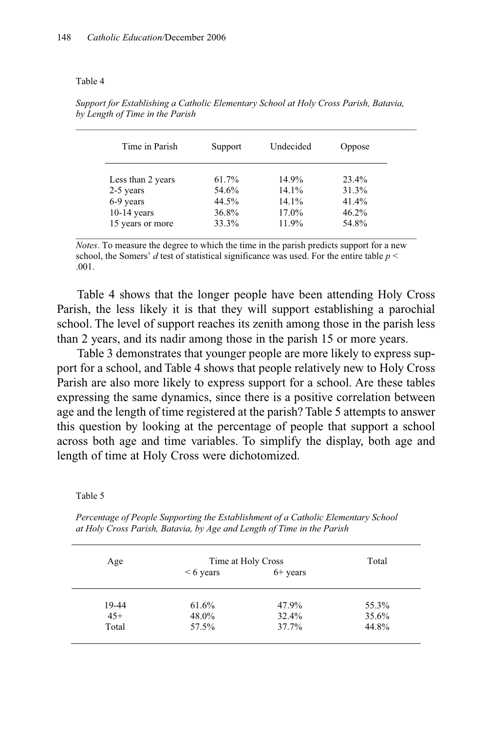#### Table 4

| Time in Parish    | Support | Undecided | Oppose   |
|-------------------|---------|-----------|----------|
| Less than 2 years | 61.7%   | 14.9%     | $23.4\%$ |
| 2-5 years         | 54.6%   | $14.1\%$  | 31.3%    |
| 6-9 years         | 44.5%   | $14.1\%$  | $41.4\%$ |
| $10-14$ years     | 36.8%   | 17.0%     | 46.2%    |
| 15 years or more  | 33.3%   | 11.9%     | 54.8%    |

*Support for Establishing a Catholic Elementary School at Holy Cross Parish, Batavia, by Length of Time in the Parish*

*Notes*. To measure the degree to which the time in the parish predicts support for a new school, the Somers'  $d$  test of statistical significance was used. For the entire table  $p <$ .001.

Table 4 shows that the longer people have been attending Holy Cross Parish, the less likely it is that they will support establishing a parochial school. The level of support reaches its zenith among those in the parish less than 2 years, and its nadir among those in the parish 15 or more years.

Table 3 demonstrates that younger people are more likely to express support for a school, and Table 4 shows that people relatively new to Holy Cross Parish are also more likely to express support for a school. Are these tables expressing the same dynamics, since there is a positive correlation between age and the length of time registered at the parish? Table 5 attempts to answer this question by looking at the percentage of people that support a school across both age and time variables. To simplify the display, both age and length of time at Holy Cross were dichotomized.

Table 5

*Percentage of People Supporting the Establishment of a Catholic Elementary School at Holy Cross Parish, Batavia, by Age and Length of Time in the Parish*

| Age   | Time at Holy Cross |            | Total |
|-------|--------------------|------------|-------|
|       | $< 6$ years        | $6+$ years |       |
| 19-44 | 61.6%              | 47.9%      | 55.3% |
| $45+$ | 48.0%              | 32.4%      | 35.6% |
| Total | 57.5%              | 37.7%      | 44.8% |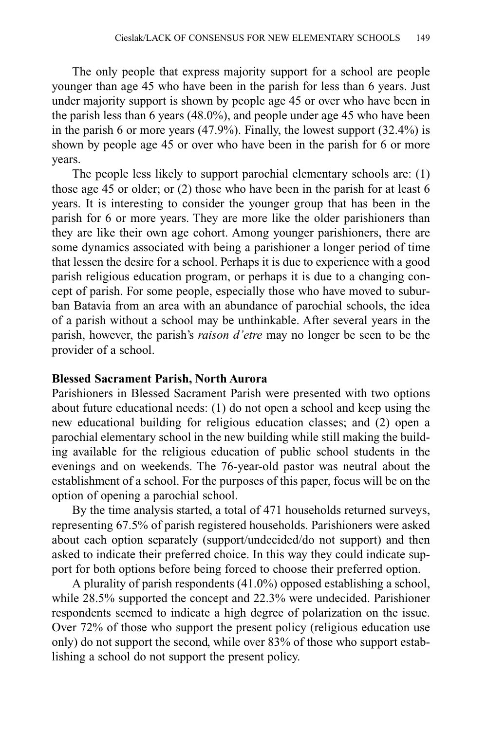The only people that express majority support for a school are people younger than age 45 who have been in the parish for less than 6 years. Just under majority support is shown by people age 45 or over who have been in the parish less than 6 years (48.0%), and people under age 45 who have been in the parish 6 or more years (47.9%). Finally, the lowest support (32.4%) is shown by people age 45 or over who have been in the parish for 6 or more years.

The people less likely to support parochial elementary schools are: (1) those age 45 or older; or (2) those who have been in the parish for at least 6 years. It is interesting to consider the younger group that has been in the parish for 6 or more years. They are more like the older parishioners than they are like their own age cohort. Among younger parishioners, there are some dynamics associated with being a parishioner a longer period of time that lessen the desire for a school. Perhaps it is due to experience with a good parish religious education program, or perhaps it is due to a changing concept of parish. For some people, especially those who have moved to suburban Batavia from an area with an abundance of parochial schools, the idea of a parish without a school may be unthinkable. After several years in the parish, however, the parish's *raison d'etre* may no longer be seen to be the provider of a school.

#### **Blessed Sacrament Parish, North Aurora**

Parishioners in Blessed Sacrament Parish were presented with two options about future educational needs: (1) do not open a school and keep using the new educational building for religious education classes; and (2) open a parochial elementary school in the new building while still making the building available for the religious education of public school students in the evenings and on weekends. The 76-year-old pastor was neutral about the establishment of a school. For the purposes of this paper, focus will be on the option of opening a parochial school.

By the time analysis started, a total of 471 households returned surveys, representing 67.5% of parish registered households. Parishioners were asked about each option separately (support/undecided/do not support) and then asked to indicate their preferred choice. In this way they could indicate support for both options before being forced to choose their preferred option.

A plurality of parish respondents (41.0%) opposed establishing a school, while 28.5% supported the concept and 22.3% were undecided. Parishioner respondents seemed to indicate a high degree of polarization on the issue. Over 72% of those who support the present policy (religious education use only) do not support the second, while over 83% of those who support establishing a school do not support the present policy.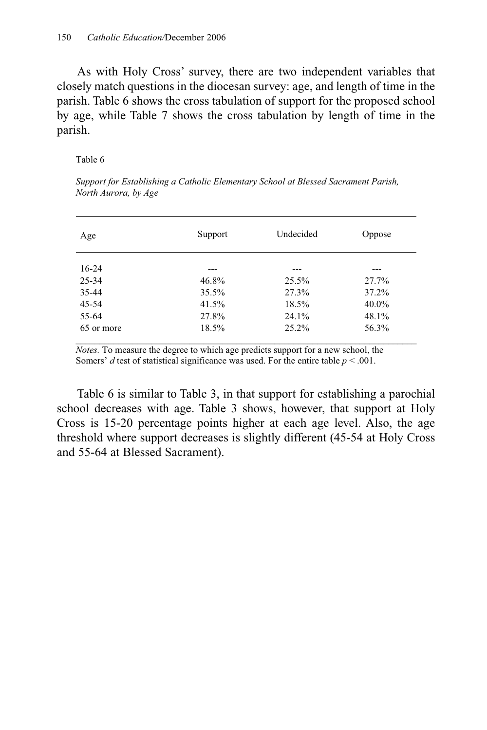As with Holy Cross' survey, there are two independent variables that closely match questions in the diocesan survey: age, and length of time in the parish. Table 6 shows the cross tabulation of support for the proposed school by age, while Table 7 shows the cross tabulation by length of time in the parish.

Table 6

| Age        | Support  | Undecided | Oppose   |
|------------|----------|-----------|----------|
| $16-24$    | ---      | ---       | ---      |
| $25 - 34$  | 46.8%    | $25.5\%$  | 27.7%    |
| 35-44      | $35.5\%$ | 27.3%     | 37.2%    |
| 45-54      | 41.5%    | 18.5%     | $40.0\%$ |
| 55-64      | 27.8%    | 24.1%     | 48.1%    |
| 65 or more | 18.5%    | $25.2\%$  | 56.3%    |

*Support for Establishing a Catholic Elementary School at Blessed Sacrament Parish, North Aurora, by Age* 

*Notes.* To measure the degree to which age predicts support for a new school, the Somers' *d* test of statistical significance was used. For the entire table  $p < .001$ .

Table 6 is similar to Table 3, in that support for establishing a parochial school decreases with age. Table 3 shows, however, that support at Holy Cross is 15-20 percentage points higher at each age level. Also, the age threshold where support decreases is slightly different (45-54 at Holy Cross and 55-64 at Blessed Sacrament).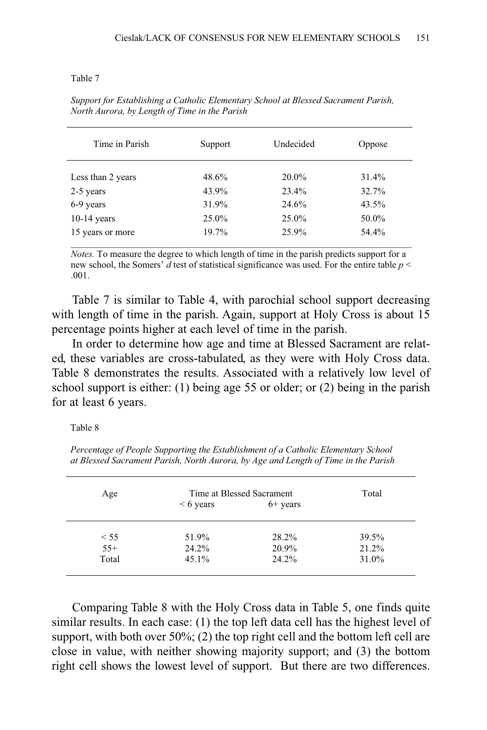#### Table 7

| Time in Parish    | Support | Undecided | Oppose |
|-------------------|---------|-----------|--------|
| Less than 2 years | 48.6%   | 20.0%     | 31.4%  |
| 2-5 years         | 43.9%   | 23.4%     | 32.7%  |
| 6-9 years         | 31.9%   | 24.6%     | 43.5%  |
| $10-14$ years     | 25.0%   | 25.0%     | 50.0%  |
| 15 years or more  | 19.7%   | 25.9%     | 54.4%  |

*Support for Establishing a Catholic Elementary School at Blessed Sacrament Parish, North Aurora, by Length of Time in the Parish*

*Notes.* To measure the degree to which length of time in the parish predicts support for a new school, the Somers' *d* test of statistical significance was used. For the entire table *p* < .001.

Table 7 is similar to Table 4, with parochial school support decreasing with length of time in the parish. Again, support at Holy Cross is about 15 percentage points higher at each level of time in the parish.

In order to determine how age and time at Blessed Sacrament are related, these variables are cross-tabulated, as they were with Holy Cross data. Table 8 demonstrates the results. Associated with a relatively low level of school support is either: (1) being age 55 or older; or (2) being in the parish for at least 6 years.

Table 8

*Percentage of People Supporting the Establishment of a Catholic Elementary School at Blessed Sacrament Parish, North Aurora, by Age and Length of Time in the Parish*

| Age   | Time at Blessed Sacrament |            | Total |  |
|-------|---------------------------|------------|-------|--|
|       | $< 6$ years               | $6+$ years |       |  |
| < 55  | 51.9%                     | 28.2%      | 39.5% |  |
| $55+$ | 24.2%                     | 20.9%      | 21.2% |  |
| Total | 45.1%                     | 24.2%      | 31.0% |  |
|       |                           |            |       |  |

Comparing Table 8 with the Holy Cross data in Table 5, one finds quite similar results. In each case: (1) the top left data cell has the highest level of support, with both over  $50\%$ ; (2) the top right cell and the bottom left cell are close in value, with neither showing majority support; and (3) the bottom right cell shows the lowest level of support. But there are two differences.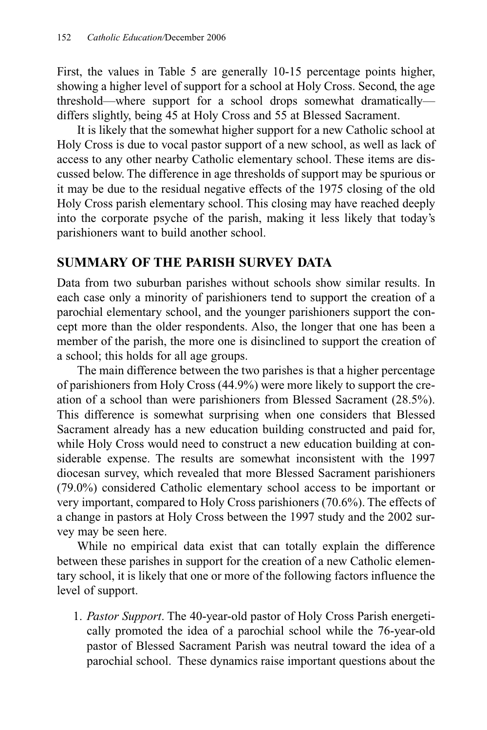First, the values in Table 5 are generally 10-15 percentage points higher, showing a higher level of support for a school at Holy Cross. Second, the age threshold—where support for a school drops somewhat dramatically differs slightly, being 45 at Holy Cross and 55 at Blessed Sacrament.

It is likely that the somewhat higher support for a new Catholic school at Holy Cross is due to vocal pastor support of a new school, as well as lack of access to any other nearby Catholic elementary school. These items are discussed below. The difference in age thresholds of support may be spurious or it may be due to the residual negative effects of the 1975 closing of the old Holy Cross parish elementary school. This closing may have reached deeply into the corporate psyche of the parish, making it less likely that today's parishioners want to build another school.

### **SUMMARY OF THE PARISH SURVEY DATA**

Data from two suburban parishes without schools show similar results. In each case only a minority of parishioners tend to support the creation of a parochial elementary school, and the younger parishioners support the concept more than the older respondents. Also, the longer that one has been a member of the parish, the more one is disinclined to support the creation of a school; this holds for all age groups.

The main difference between the two parishes is that a higher percentage of parishioners from Holy Cross (44.9%) were more likely to support the creation of a school than were parishioners from Blessed Sacrament (28.5%). This difference is somewhat surprising when one considers that Blessed Sacrament already has a new education building constructed and paid for, while Holy Cross would need to construct a new education building at considerable expense. The results are somewhat inconsistent with the 1997 diocesan survey, which revealed that more Blessed Sacrament parishioners (79.0%) considered Catholic elementary school access to be important or very important, compared to Holy Cross parishioners (70.6%). The effects of a change in pastors at Holy Cross between the 1997 study and the 2002 survey may be seen here.

While no empirical data exist that can totally explain the difference between these parishes in support for the creation of a new Catholic elementary school, it is likely that one or more of the following factors influence the level of support.

1. *Pastor Support*. The 40-year-old pastor of Holy Cross Parish energetically promoted the idea of a parochial school while the 76-year-old pastor of Blessed Sacrament Parish was neutral toward the idea of a parochial school. These dynamics raise important questions about the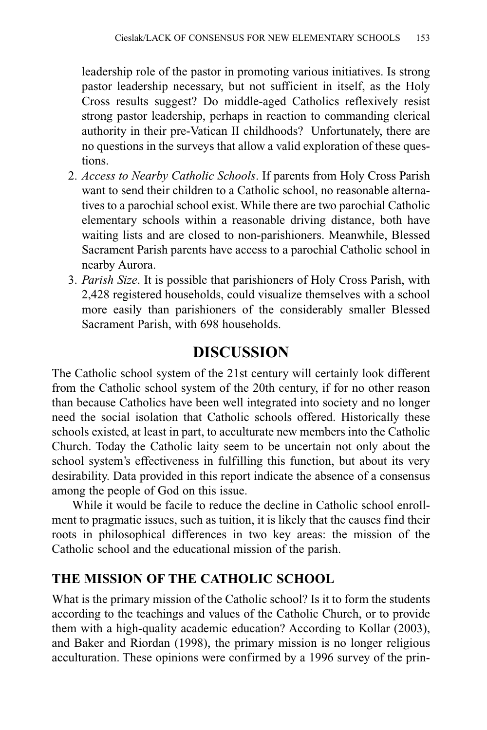leadership role of the pastor in promoting various initiatives. Is strong pastor leadership necessary, but not sufficient in itself, as the Holy Cross results suggest? Do middle-aged Catholics reflexively resist strong pastor leadership, perhaps in reaction to commanding clerical authority in their pre-Vatican II childhoods? Unfortunately, there are no questions in the surveys that allow a valid exploration of these questions.

- 2. *Access to Nearby Catholic Schools*. If parents from Holy Cross Parish want to send their children to a Catholic school, no reasonable alternatives to a parochial school exist. While there are two parochial Catholic elementary schools within a reasonable driving distance, both have waiting lists and are closed to non-parishioners. Meanwhile, Blessed Sacrament Parish parents have access to a parochial Catholic school in nearby Aurora.
- 3. *Parish Size*. It is possible that parishioners of Holy Cross Parish, with 2,428 registered households, could visualize themselves with a school more easily than parishioners of the considerably smaller Blessed Sacrament Parish, with 698 households.

## **DISCUSSION**

The Catholic school system of the 21st century will certainly look different from the Catholic school system of the 20th century, if for no other reason than because Catholics have been well integrated into society and no longer need the social isolation that Catholic schools offered. Historically these schools existed, at least in part, to acculturate new members into the Catholic Church. Today the Catholic laity seem to be uncertain not only about the school system's effectiveness in fulfilling this function, but about its very desirability. Data provided in this report indicate the absence of a consensus among the people of God on this issue.

While it would be facile to reduce the decline in Catholic school enrollment to pragmatic issues, such as tuition, it is likely that the causes find their roots in philosophical differences in two key areas: the mission of the Catholic school and the educational mission of the parish.

### **THE MISSION OF THE CATHOLIC SCHOOL**

What is the primary mission of the Catholic school? Is it to form the students according to the teachings and values of the Catholic Church, or to provide them with a high-quality academic education? According to Kollar (2003), and Baker and Riordan (1998), the primary mission is no longer religious acculturation. These opinions were confirmed by a 1996 survey of the prin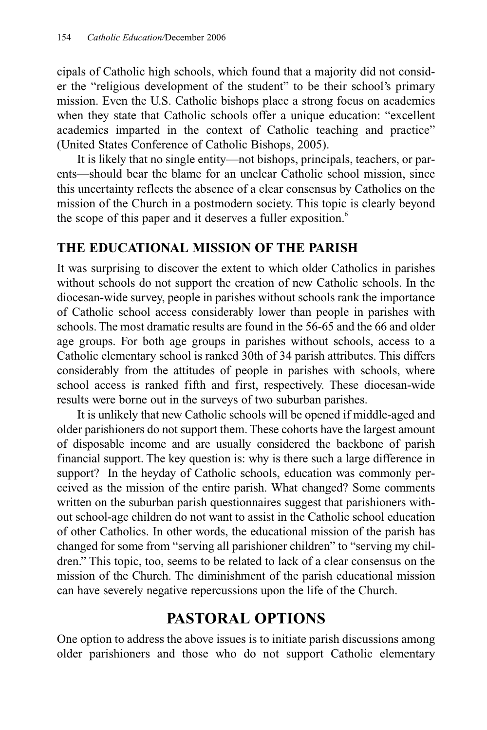cipals of Catholic high schools, which found that a majority did not consider the "religious development of the student" to be their school's primary mission. Even the U.S. Catholic bishops place a strong focus on academics when they state that Catholic schools offer a unique education: "excellent academics imparted in the context of Catholic teaching and practice" (United States Conference of Catholic Bishops, 2005).

It is likely that no single entity—not bishops, principals, teachers, or parents—should bear the blame for an unclear Catholic school mission, since this uncertainty reflects the absence of a clear consensus by Catholics on the mission of the Church in a postmodern society. This topic is clearly beyond the scope of this paper and it deserves a fuller exposition.<sup>6</sup>

### **THE EDUCATIONAL MISSION OF THE PARISH**

It was surprising to discover the extent to which older Catholics in parishes without schools do not support the creation of new Catholic schools. In the diocesan-wide survey, people in parishes without schools rank the importance of Catholic school access considerably lower than people in parishes with schools. The most dramatic results are found in the 56-65 and the 66 and older age groups. For both age groups in parishes without schools, access to a Catholic elementary school is ranked 30th of 34 parish attributes. This differs considerably from the attitudes of people in parishes with schools, where school access is ranked fifth and first, respectively. These diocesan-wide results were borne out in the surveys of two suburban parishes.

It is unlikely that new Catholic schools will be opened if middle-aged and older parishioners do not support them. These cohorts have the largest amount of disposable income and are usually considered the backbone of parish financial support. The key question is: why is there such a large difference in support? In the heyday of Catholic schools, education was commonly perceived as the mission of the entire parish. What changed? Some comments written on the suburban parish questionnaires suggest that parishioners without school-age children do not want to assist in the Catholic school education of other Catholics. In other words, the educational mission of the parish has changed for some from "serving all parishioner children" to "serving my children." This topic, too, seems to be related to lack of a clear consensus on the mission of the Church. The diminishment of the parish educational mission can have severely negative repercussions upon the life of the Church.

### **PASTORAL OPTIONS**

One option to address the above issues is to initiate parish discussions among older parishioners and those who do not support Catholic elementary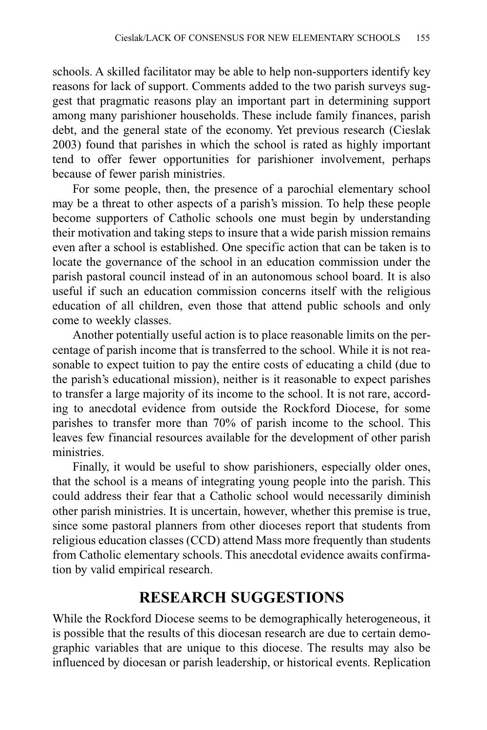schools. A skilled facilitator may be able to help non-supporters identify key reasons for lack of support. Comments added to the two parish surveys suggest that pragmatic reasons play an important part in determining support among many parishioner households. These include family finances, parish debt, and the general state of the economy. Yet previous research (Cieslak 2003) found that parishes in which the school is rated as highly important tend to offer fewer opportunities for parishioner involvement, perhaps because of fewer parish ministries.

For some people, then, the presence of a parochial elementary school may be a threat to other aspects of a parish's mission. To help these people become supporters of Catholic schools one must begin by understanding their motivation and taking steps to insure that a wide parish mission remains even after a school is established. One specific action that can be taken is to locate the governance of the school in an education commission under the parish pastoral council instead of in an autonomous school board. It is also useful if such an education commission concerns itself with the religious education of all children, even those that attend public schools and only come to weekly classes.

Another potentially useful action is to place reasonable limits on the percentage of parish income that is transferred to the school. While it is not reasonable to expect tuition to pay the entire costs of educating a child (due to the parish's educational mission), neither is it reasonable to expect parishes to transfer a large majority of its income to the school. It is not rare, according to anecdotal evidence from outside the Rockford Diocese, for some parishes to transfer more than 70% of parish income to the school. This leaves few financial resources available for the development of other parish ministries.

Finally, it would be useful to show parishioners, especially older ones, that the school is a means of integrating young people into the parish. This could address their fear that a Catholic school would necessarily diminish other parish ministries. It is uncertain, however, whether this premise is true, since some pastoral planners from other dioceses report that students from religious education classes (CCD) attend Mass more frequently than students from Catholic elementary schools. This anecdotal evidence awaits confirmation by valid empirical research.

### **RESEARCH SUGGESTIONS**

While the Rockford Diocese seems to be demographically heterogeneous, it is possible that the results of this diocesan research are due to certain demographic variables that are unique to this diocese. The results may also be influenced by diocesan or parish leadership, or historical events. Replication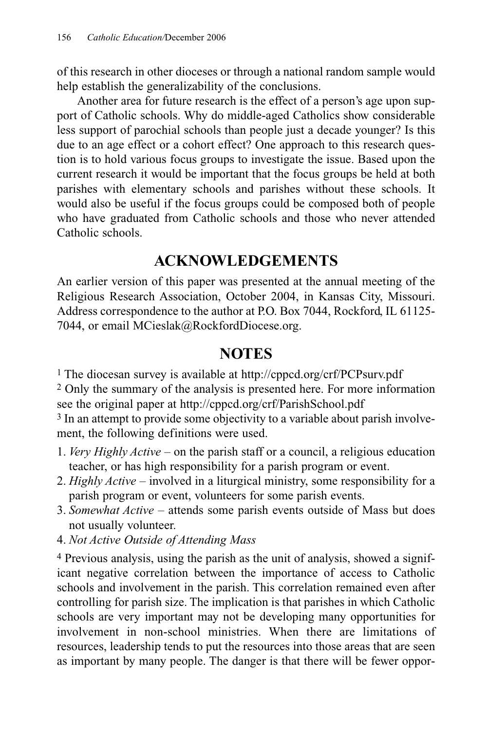of this research in other dioceses or through a national random sample would help establish the generalizability of the conclusions.

Another area for future research is the effect of a person's age upon support of Catholic schools. Why do middle-aged Catholics show considerable less support of parochial schools than people just a decade younger? Is this due to an age effect or a cohort effect? One approach to this research question is to hold various focus groups to investigate the issue. Based upon the current research it would be important that the focus groups be held at both parishes with elementary schools and parishes without these schools. It would also be useful if the focus groups could be composed both of people who have graduated from Catholic schools and those who never attended Catholic schools.

### **ACKNOWLEDGEMENTS**

An earlier version of this paper was presented at the annual meeting of the Religious Research Association, October 2004, in Kansas City, Missouri. Address correspondence to the author at P.O. Box 7044, Rockford, IL 61125- 7044, or email MCieslak@RockfordDiocese.org.

### **NOTES**

1 The diocesan survey is available at http://cppcd.org/crf/PCPsurv.pdf

2 Only the summary of the analysis is presented here. For more information see the original paper at http://cppcd.org/crf/ParishSchool.pdf

<sup>3</sup> In an attempt to provide some objectivity to a variable about parish involvement, the following definitions were used.

- 1. *Very Highly Active* on the parish staff or a council, a religious education teacher, or has high responsibility for a parish program or event.
- 2. *Highly Active* involved in a liturgical ministry, some responsibility for a parish program or event, volunteers for some parish events.
- 3. *Somewhat Active* attends some parish events outside of Mass but does not usually volunteer.
- 4. *Not Active Outside of Attending Mass*

4 Previous analysis, using the parish as the unit of analysis, showed a significant negative correlation between the importance of access to Catholic schools and involvement in the parish. This correlation remained even after controlling for parish size. The implication is that parishes in which Catholic schools are very important may not be developing many opportunities for involvement in non-school ministries. When there are limitations of resources, leadership tends to put the resources into those areas that are seen as important by many people. The danger is that there will be fewer oppor